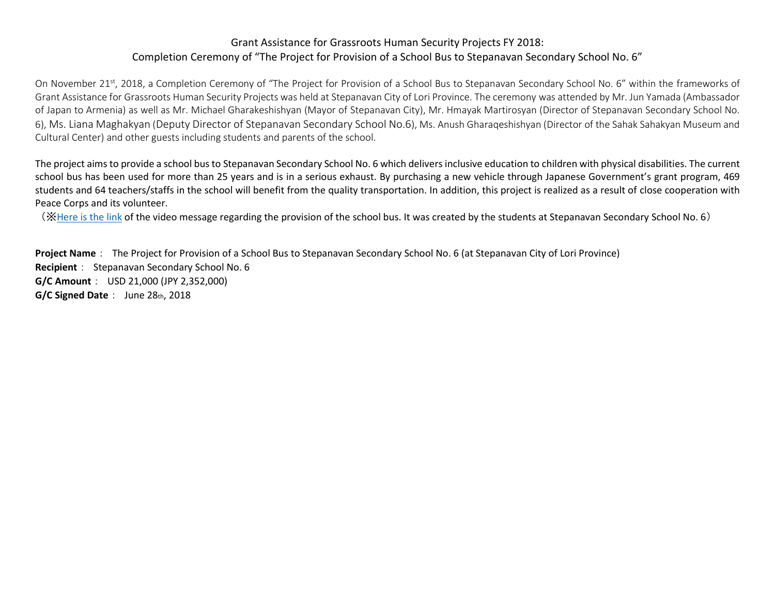## Grant Assistance for Grassroots Human Security Projects FY 2018: Completion Ceremony of "The Project for Provision of a School Bus to Stepanavan Secondary School No. 6"

On November 21<sup>st</sup>, 2018, a Completion Ceremony of "The Project for Provision of a School Bus to Stepanavan Secondary School No. 6" within the frameworks of Grant Assistance for Grassroots Human Security Projects was held at Stepanavan City of Lori Province. The ceremony was attended by Mr. Jun Yamada (Ambassador of Japan to Armenia) as well as Mr. Michael Gharakeshishyan (Mayor of Stepanavan City), Mr. Hmayak Martirosyan (Director of Stepanavan Secondary School No. 6), Ms. Liana Maghakyan (Deputy Director of Stepanavan Secondary School No.6), Ms. Anush Gharaqeshishyan (Director of the Sahak Sahakyan Museum and Cultural Center) and other guests including students and parents of the school.

The project aims to provide a school bus to Stepanavan Secondary School No. 6 which delivers inclusive education to children with physical disabilities. The current school bus has been used for more than 25 years and is in a serious exhaust. By purchasing a new vehicle through Japanese Government's grant program, 469 students and 64 teachers/staffs in the school will benefit from the quality transportation. In addition, this project is realized as a result of close cooperation with Peace Corps and its volunteer.

(※[Here is the link](https://www.youtube.com/watch?v=wNuhj9Xiw_Y&noapp=1&client=mv-google&app=desktop&persist_app=1) of the video message regarding the provision of the school bus. It was created by the students at Stepanavan Secondary School No. 6)

**Project Name**: The Project for Provision of a School Bus to Stepanavan Secondary School No. 6 (at Stepanavan City of Lori Province) **Recipient**: Stepanavan Secondary School No. 6 **G/C Amount**: USD 21,000 (JPY 2,352,000) **G/C Signed Date**: June 28th, 2018